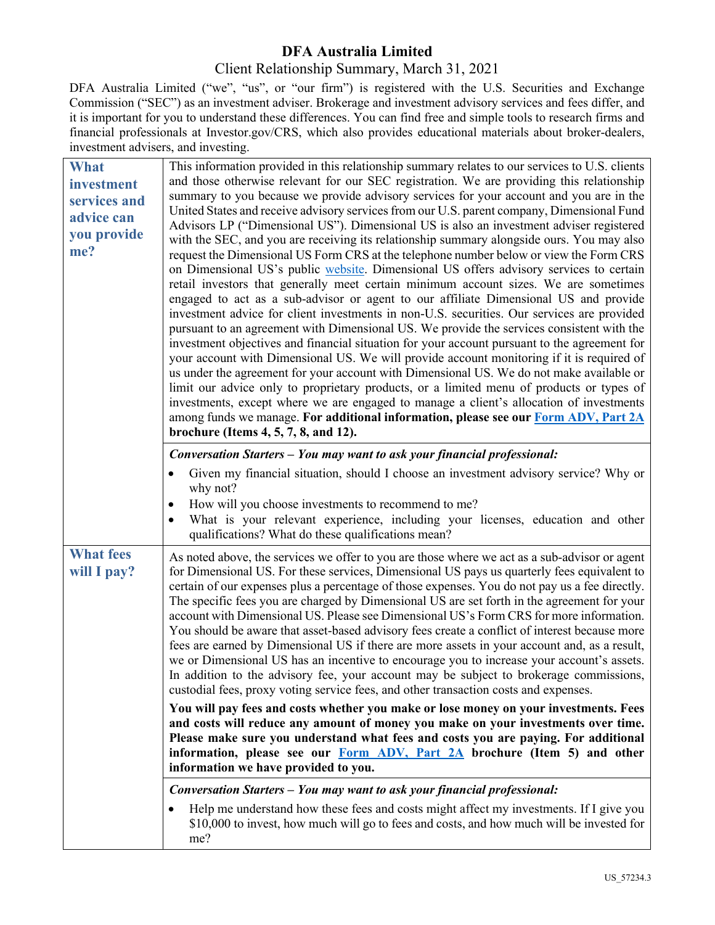## **DFA Australia Limited**

## Client Relationship Summary, March 31, 2021

DFA Australia Limited ("we", "us", or "our firm") is registered with the U.S. Securities and Exchange Commission ("SEC") as an investment adviser. Brokerage and investment advisory services and fees differ, and it is important for you to understand these differences. You can find free and simple tools to research firms and financial professionals at Investor.gov/CRS, which also provides educational materials about broker-dealers, investment advisers, and investing.

| <b>What</b><br>investment<br>services and<br>advice can<br>you provide<br>me? | This information provided in this relationship summary relates to our services to U.S. clients<br>and those otherwise relevant for our SEC registration. We are providing this relationship<br>summary to you because we provide advisory services for your account and you are in the<br>United States and receive advisory services from our U.S. parent company, Dimensional Fund<br>Advisors LP ("Dimensional US"). Dimensional US is also an investment adviser registered<br>with the SEC, and you are receiving its relationship summary alongside ours. You may also<br>request the Dimensional US Form CRS at the telephone number below or view the Form CRS<br>on Dimensional US's public website. Dimensional US offers advisory services to certain<br>retail investors that generally meet certain minimum account sizes. We are sometimes<br>engaged to act as a sub-advisor or agent to our affiliate Dimensional US and provide<br>investment advice for client investments in non-U.S. securities. Our services are provided<br>pursuant to an agreement with Dimensional US. We provide the services consistent with the<br>investment objectives and financial situation for your account pursuant to the agreement for<br>your account with Dimensional US. We will provide account monitoring if it is required of<br>us under the agreement for your account with Dimensional US. We do not make available or<br>limit our advice only to proprietary products, or a limited menu of products or types of<br>investments, except where we are engaged to manage a client's allocation of investments<br>among funds we manage. For additional information, please see our Form ADV, Part 2A<br>brochure (Items $4, 5, 7, 8,$ and $12$ ). |
|-------------------------------------------------------------------------------|-----------------------------------------------------------------------------------------------------------------------------------------------------------------------------------------------------------------------------------------------------------------------------------------------------------------------------------------------------------------------------------------------------------------------------------------------------------------------------------------------------------------------------------------------------------------------------------------------------------------------------------------------------------------------------------------------------------------------------------------------------------------------------------------------------------------------------------------------------------------------------------------------------------------------------------------------------------------------------------------------------------------------------------------------------------------------------------------------------------------------------------------------------------------------------------------------------------------------------------------------------------------------------------------------------------------------------------------------------------------------------------------------------------------------------------------------------------------------------------------------------------------------------------------------------------------------------------------------------------------------------------------------------------------------------------------------------------------------------------------------------------------|
|                                                                               | Conversation Starters - You may want to ask your financial professional:                                                                                                                                                                                                                                                                                                                                                                                                                                                                                                                                                                                                                                                                                                                                                                                                                                                                                                                                                                                                                                                                                                                                                                                                                                                                                                                                                                                                                                                                                                                                                                                                                                                                                        |
|                                                                               | Given my financial situation, should I choose an investment advisory service? Why or<br>why not?<br>How will you choose investments to recommend to me?<br>What is your relevant experience, including your licenses, education and other<br>qualifications? What do these qualifications mean?                                                                                                                                                                                                                                                                                                                                                                                                                                                                                                                                                                                                                                                                                                                                                                                                                                                                                                                                                                                                                                                                                                                                                                                                                                                                                                                                                                                                                                                                 |
| <b>What fees</b><br>will I pay?                                               | As noted above, the services we offer to you are those where we act as a sub-advisor or agent<br>for Dimensional US. For these services, Dimensional US pays us quarterly fees equivalent to<br>certain of our expenses plus a percentage of those expenses. You do not pay us a fee directly.<br>The specific fees you are charged by Dimensional US are set forth in the agreement for your<br>account with Dimensional US. Please see Dimensional US's Form CRS for more information.<br>You should be aware that asset-based advisory fees create a conflict of interest because more<br>fees are earned by Dimensional US if there are more assets in your account and, as a result,<br>we or Dimensional US has an incentive to encourage you to increase your account's assets.<br>In addition to the advisory fee, your account may be subject to brokerage commissions,<br>custodial fees, proxy voting service fees, and other transaction costs and expenses.<br>You will pay fees and costs whether you make or lose money on your investments. Fees<br>and costs will reduce any amount of money you make on your investments over time.                                                                                                                                                                                                                                                                                                                                                                                                                                                                                                                                                                                                           |
|                                                                               | Please make sure you understand what fees and costs you are paying. For additional<br>information, please see our Form ADV, Part 2A brochure (Item 5) and other<br>information we have provided to you.                                                                                                                                                                                                                                                                                                                                                                                                                                                                                                                                                                                                                                                                                                                                                                                                                                                                                                                                                                                                                                                                                                                                                                                                                                                                                                                                                                                                                                                                                                                                                         |
|                                                                               | Conversation Starters - You may want to ask your financial professional:<br>Help me understand how these fees and costs might affect my investments. If I give you<br>\$10,000 to invest, how much will go to fees and costs, and how much will be invested for<br>me?                                                                                                                                                                                                                                                                                                                                                                                                                                                                                                                                                                                                                                                                                                                                                                                                                                                                                                                                                                                                                                                                                                                                                                                                                                                                                                                                                                                                                                                                                          |